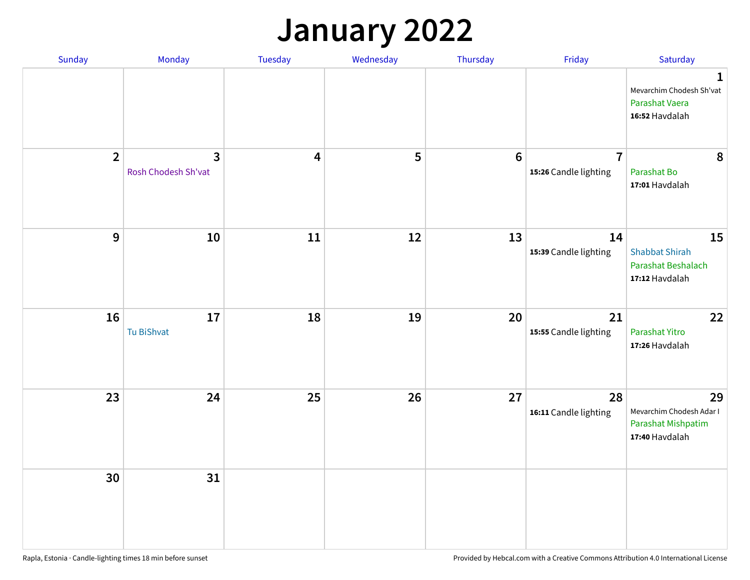#### **January 2022**

| Sunday         | Monday                              | Tuesday                 | Wednesday | Thursday         | Friday                                  | Saturday                                                                      |
|----------------|-------------------------------------|-------------------------|-----------|------------------|-----------------------------------------|-------------------------------------------------------------------------------|
|                |                                     |                         |           |                  |                                         | $\mathbf{1}$<br>Mevarchim Chodesh Sh'vat<br>Parashat Vaera<br>16:52 Havdalah  |
| $\overline{2}$ | $\mathbf{3}$<br>Rosh Chodesh Sh'vat | $\overline{\mathbf{4}}$ | 5         | $\boldsymbol{6}$ | $\overline{7}$<br>15:26 Candle lighting | 8<br>Parashat Bo<br>17:01 Havdalah                                            |
| $\mathbf{9}$   | 10                                  | 11                      | 12        | 13               | 14<br>15:39 Candle lighting             | 15<br><b>Shabbat Shirah</b><br>Parashat Beshalach<br>17:12 Havdalah           |
| 16             | 17<br>Tu BiShvat                    | 18                      | 19        | 20               | 21<br>15:55 Candle lighting             | 22<br>Parashat Yitro<br>17:26 Havdalah                                        |
| 23             | 24                                  | 25                      | 26        | 27               | 28<br>16:11 Candle lighting             | 29<br>Mevarchim Chodesh Adar I<br><b>Parashat Mishpatim</b><br>17:40 Havdalah |
| 30             | 31                                  |                         |           |                  |                                         |                                                                               |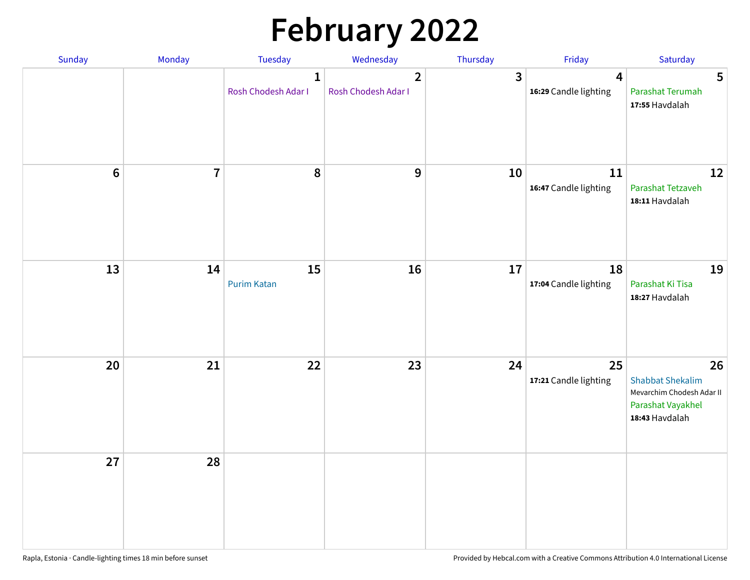# **February 2022**

| Sunday           | Monday         | Tuesday                             | Wednesday                             | Thursday     | Friday                                  | Saturday                                                                                          |
|------------------|----------------|-------------------------------------|---------------------------------------|--------------|-----------------------------------------|---------------------------------------------------------------------------------------------------|
|                  |                | $\mathbf{1}$<br>Rosh Chodesh Adar I | $\overline{2}$<br>Rosh Chodesh Adar I | $\mathbf{3}$ | $\overline{4}$<br>16:29 Candle lighting | $5\phantom{.0}$<br>Parashat Terumah<br>17:55 Havdalah                                             |
| $\boldsymbol{6}$ | $\overline{7}$ | $\pmb{8}$                           | $\boldsymbol{9}$                      | 10           | 11<br>16:47 Candle lighting             | 12<br>Parashat Tetzaveh<br>18:11 Havdalah                                                         |
| 13               | 14             | 15<br><b>Purim Katan</b>            | 16                                    | 17           | 18<br>17:04 Candle lighting             | 19<br>Parashat Ki Tisa<br>18:27 Havdalah                                                          |
| 20               | 21             | 22                                  | 23                                    | 24           | 25<br>17:21 Candle lighting             | 26<br><b>Shabbat Shekalim</b><br>Mevarchim Chodesh Adar II<br>Parashat Vayakhel<br>18:43 Havdalah |
| 27               | 28             |                                     |                                       |              |                                         |                                                                                                   |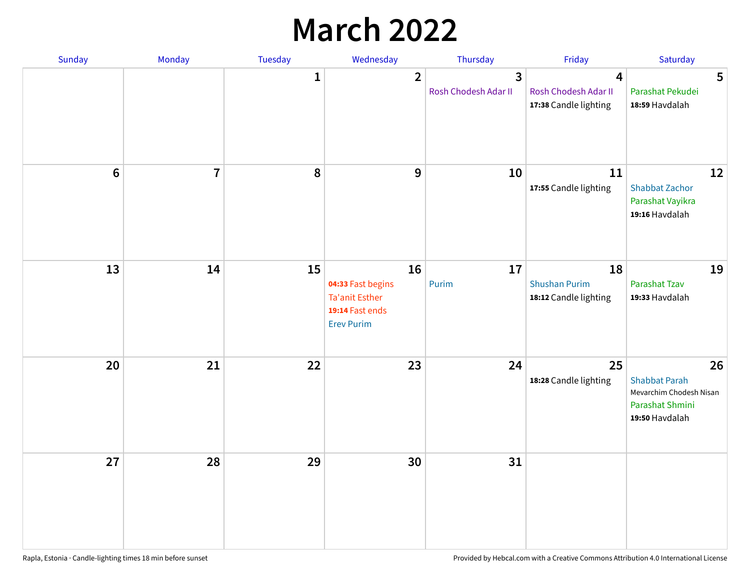## **March 2022**

| Sunday  | <b>Monday</b>  | <b>Tuesday</b> | Wednesday                                                                                | Thursday                                        | Friday                                              | Saturday                                                                                   |
|---------|----------------|----------------|------------------------------------------------------------------------------------------|-------------------------------------------------|-----------------------------------------------------|--------------------------------------------------------------------------------------------|
|         |                | $\mathbf{1}$   | $\overline{2}$                                                                           | $\overline{\mathbf{3}}$<br>Rosh Chodesh Adar II | 4<br>Rosh Chodesh Adar II<br>17:38 Candle lighting  | 5<br>Parashat Pekudei<br>18:59 Havdalah                                                    |
| $\bf 6$ | $\overline{7}$ | 8              | 9                                                                                        | 10                                              | 11<br>17:55 Candle lighting                         | 12<br><b>Shabbat Zachor</b><br>Parashat Vayikra<br>19:16 Havdalah                          |
| 13      | 14             | 15             | 16<br>04:33 Fast begins<br><b>Ta'anit Esther</b><br>19:14 Fast ends<br><b>Erev Purim</b> | 17<br>Purim                                     | 18<br><b>Shushan Purim</b><br>18:12 Candle lighting | 19<br>Parashat Tzav<br>19:33 Havdalah                                                      |
| 20      | 21             | 22             | 23                                                                                       | 24                                              | 25<br>18:28 Candle lighting                         | 26<br><b>Shabbat Parah</b><br>Mevarchim Chodesh Nisan<br>Parashat Shmini<br>19:50 Havdalah |
| 27      | 28             | 29             | 30                                                                                       | 31                                              |                                                     |                                                                                            |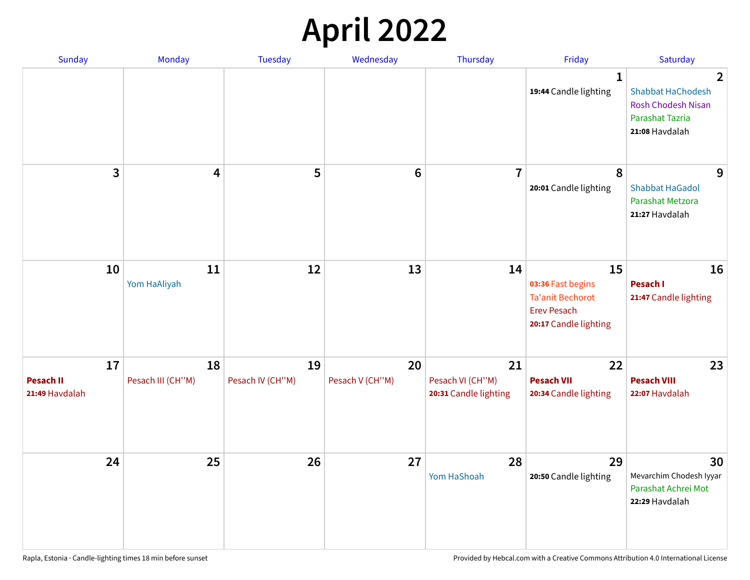## **April 2022**

| <b>Sunday</b>                            | Monday                  | <b>Tuesday</b>         | Wednesday             | Thursday                                        | Friday                                                                                            | Saturday                                                                                                            |
|------------------------------------------|-------------------------|------------------------|-----------------------|-------------------------------------------------|---------------------------------------------------------------------------------------------------|---------------------------------------------------------------------------------------------------------------------|
|                                          |                         |                        |                       |                                                 | 1<br>19:44 Candle lighting                                                                        | $\overline{2}$<br><b>Shabbat HaChodesh</b><br><b>Rosh Chodesh Nisan</b><br><b>Parashat Tazria</b><br>21:08 Havdalah |
| 3                                        | 4                       | 5                      | $6\phantom{1}$        | $\overline{7}$                                  | 8<br>20:01 Candle lighting                                                                        | 9<br><b>Shabbat HaGadol</b><br>Parashat Metzora<br>21:27 Havdalah                                                   |
| 10                                       | 11<br>Yom HaAliyah      | 12                     | 13                    | 14                                              | 15<br>03:36 Fast begins<br><b>Ta'anit Bechorot</b><br><b>Erev Pesach</b><br>20:17 Candle lighting | 16<br>Pesach I<br>21:47 Candle lighting                                                                             |
| 17<br><b>Pesach II</b><br>21:49 Havdalah | 18<br>Pesach III (CH"M) | 19<br>Pesach IV (CH"M) | 20<br>Pesach V (CH"M) | 21<br>Pesach VI (CH"M)<br>20:31 Candle lighting | 22<br><b>Pesach VII</b><br>20:34 Candle lighting                                                  | 23<br><b>Pesach VIII</b><br>22:07 Havdalah                                                                          |
| 24                                       | 25                      | 26                     | 27                    | 28<br>Yom HaShoah                               | 29<br>20:50 Candle lighting                                                                       | 30<br>Mevarchim Chodesh Iyyar<br>Parashat Achrei Mot<br>22:29 Havdalah                                              |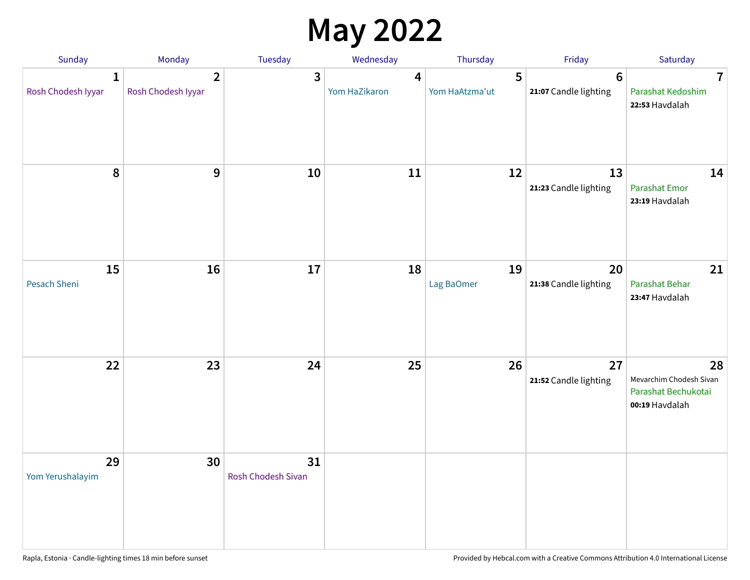### **May 2022**

| Sunday                             | Monday                               | Tuesday                         | Wednesday          | Thursday            | Friday                                   | Saturday                                                               |
|------------------------------------|--------------------------------------|---------------------------------|--------------------|---------------------|------------------------------------------|------------------------------------------------------------------------|
| $\mathbf{1}$<br>Rosh Chodesh Iyyar | $\overline{2}$<br>Rosh Chodesh Iyyar | 3                               | 4<br>Yom HaZikaron | 5<br>Yom HaAtzma'ut | $6\phantom{1}6$<br>21:07 Candle lighting | $\overline{7}$<br>Parashat Kedoshim<br>22:53 Havdalah                  |
| $\pmb{8}$                          | $\mathbf{9}$                         | 10                              | 11                 | 12                  | 13<br>21:23 Candle lighting              | 14<br><b>Parashat Emor</b><br>23:19 Havdalah                           |
| 15<br>Pesach Sheni                 | 16                                   | 17                              | 18                 | 19<br>Lag BaOmer    | 20<br>21:38 Candle lighting              | 21<br>Parashat Behar<br>23:47 Havdalah                                 |
| 22                                 | 23                                   | 24                              | 25                 | 26                  | 27<br>21:52 Candle lighting              | 28<br>Mevarchim Chodesh Sivan<br>Parashat Bechukotai<br>00:19 Havdalah |
| 29<br>Yom Yerushalayim             | 30                                   | 31<br><b>Rosh Chodesh Sivan</b> |                    |                     |                                          |                                                                        |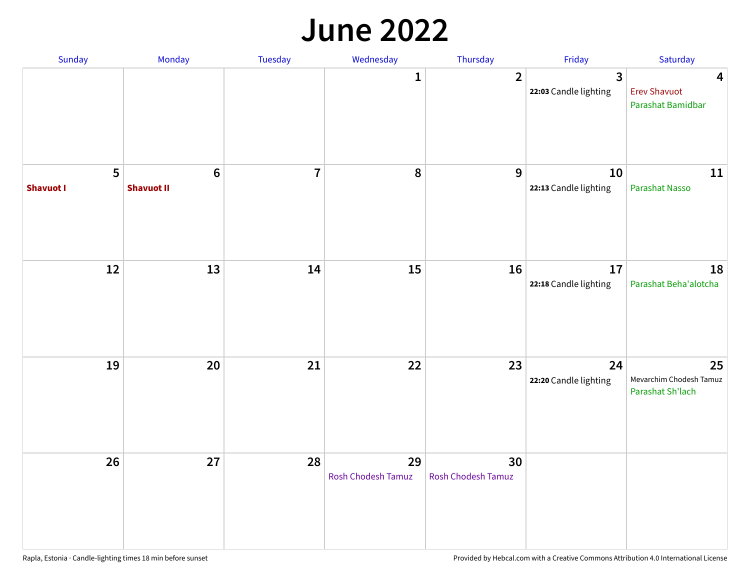#### **June 2022**

| Sunday                | Monday                       | Tuesday        | Wednesday                       | Thursday                 | Friday                      | Saturday                                                            |
|-----------------------|------------------------------|----------------|---------------------------------|--------------------------|-----------------------------|---------------------------------------------------------------------|
|                       |                              |                | 1                               | $\overline{2}$           | 3<br>22:03 Candle lighting  | $\overline{\mathbf{4}}$<br><b>Erev Shavuot</b><br>Parashat Bamidbar |
| 5<br><b>Shavuot I</b> | $\bf 6$<br><b>Shavuot II</b> | $\overline{7}$ | $\pmb{8}$                       | 9                        | 10<br>22:13 Candle lighting | 11<br>Parashat Nasso                                                |
| 12                    | 13                           | 14             | 15                              | 16                       | 17<br>22:18 Candle lighting | 18<br>Parashat Beha'alotcha                                         |
| 19                    | 20                           | 21             | 22                              | 23                       | 24<br>22:20 Candle lighting | 25<br>Mevarchim Chodesh Tamuz<br>Parashat Sh'lach                   |
| 26                    | 27                           | 28             | 29<br><b>Rosh Chodesh Tamuz</b> | 30<br>Rosh Chodesh Tamuz |                             |                                                                     |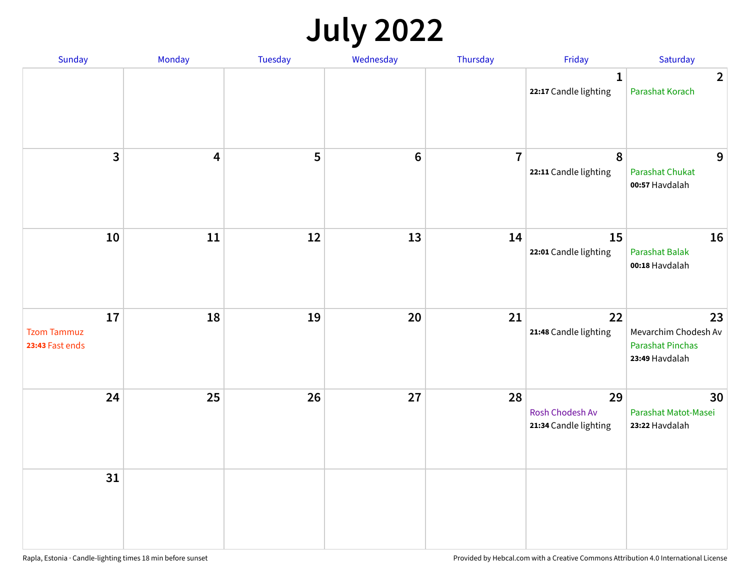## **July 2022**

| Sunday                                      | Monday                  | Tuesday | Wednesday | Thursday       | Friday                                         | Saturday                                                                |
|---------------------------------------------|-------------------------|---------|-----------|----------------|------------------------------------------------|-------------------------------------------------------------------------|
|                                             |                         |         |           |                | $\mathbf{1}$<br>22:17 Candle lighting          | $\overline{2}$<br>Parashat Korach                                       |
| $\mathbf{3}$                                | $\overline{\mathbf{4}}$ | 5       | $\bf 6$   | $\overline{7}$ | $\boldsymbol{8}$<br>22:11 Candle lighting      | 9<br><b>Parashat Chukat</b><br>00:57 Havdalah                           |
| 10                                          | 11                      | 12      | 13        | 14             | 15<br>22:01 Candle lighting                    | 16<br>Parashat Balak<br>00:18 Havdalah                                  |
| 17<br><b>Tzom Tammuz</b><br>23:43 Fast ends | 18                      | 19      | 20        | 21             | 22<br>21:48 Candle lighting                    | 23<br>Mevarchim Chodesh Av<br><b>Parashat Pinchas</b><br>23:49 Havdalah |
| 24                                          | 25                      | 26      | 27        | 28             | 29<br>Rosh Chodesh Av<br>21:34 Candle lighting | 30<br>Parashat Matot-Masei<br>23:22 Havdalah                            |
| 31                                          |                         |         |           |                |                                                |                                                                         |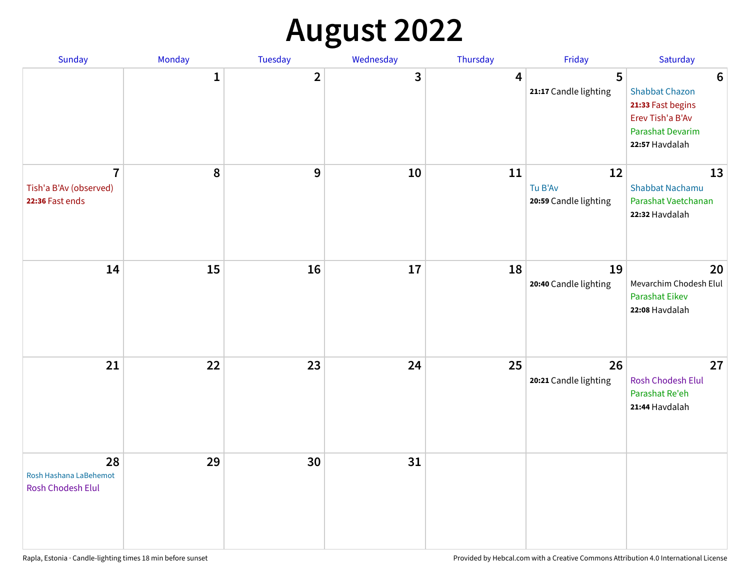## **August 2022**

| Sunday                                                      | Monday       | Tuesday                 | Wednesday | Thursday | Friday                                 | Saturday                                                                                                                       |
|-------------------------------------------------------------|--------------|-------------------------|-----------|----------|----------------------------------------|--------------------------------------------------------------------------------------------------------------------------------|
|                                                             | $\mathbf{1}$ | $\overline{\mathbf{2}}$ | 3         | 4        | 5<br>21:17 Candle lighting             | $6\phantom{1}6$<br><b>Shabbat Chazon</b><br>21:33 Fast begins<br>Erev Tish'a B'Av<br><b>Parashat Devarim</b><br>22:57 Havdalah |
| $\overline{7}$<br>Tish'a B'Av (observed)<br>22:36 Fast ends | 8            | 9                       | 10        | 11       | 12<br>Tu B'Av<br>20:59 Candle lighting | 13<br><b>Shabbat Nachamu</b><br>Parashat Vaetchanan<br>22:32 Havdalah                                                          |
| 14                                                          | 15           | 16                      | 17        | 18       | 19<br>20:40 Candle lighting            | 20<br>Mevarchim Chodesh Elul<br><b>Parashat Eikev</b><br>22:08 Havdalah                                                        |
| 21                                                          | 22           | 23                      | 24        | 25       | 26<br>20:21 Candle lighting            | 27<br><b>Rosh Chodesh Elul</b><br>Parashat Re'eh<br>21:44 Havdalah                                                             |
| 28<br>Rosh Hashana LaBehemot<br>Rosh Chodesh Elul           | 29           | 30                      | 31        |          |                                        |                                                                                                                                |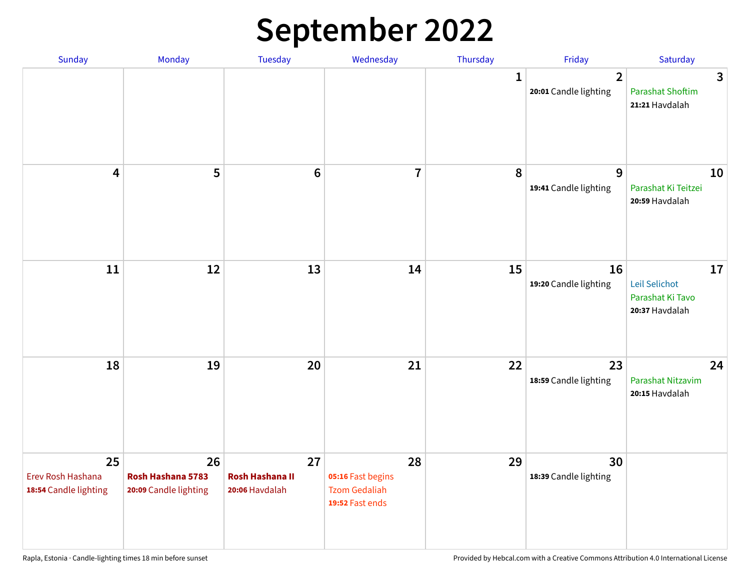## **September 2022**

| Sunday                                           | Monday                                           | <b>Tuesday</b>                                 | Wednesday                                                          | Thursday | Friday                                  | Saturday                                                  |   |
|--------------------------------------------------|--------------------------------------------------|------------------------------------------------|--------------------------------------------------------------------|----------|-----------------------------------------|-----------------------------------------------------------|---|
|                                                  |                                                  |                                                |                                                                    | 1        | $\overline{2}$<br>20:01 Candle lighting | <b>Parashat Shoftim</b><br>21:21 Havdalah                 | 3 |
| $\overline{\mathbf{4}}$                          | 5                                                | $6\phantom{1}6$                                | $\overline{7}$                                                     | 8        | 9<br>19:41 Candle lighting              | 10<br>Parashat Ki Teitzei<br>20:59 Havdalah               |   |
| 11                                               | 12                                               | 13                                             | 14                                                                 | 15       | 16<br>19:20 Candle lighting             | 17<br>Leil Selichot<br>Parashat Ki Tavo<br>20:37 Havdalah |   |
| 18                                               | 19                                               | 20                                             | 21                                                                 | 22       | 23<br>18:59 Candle lighting             | 24<br>Parashat Nitzavim<br>20:15 Havdalah                 |   |
| 25<br>Erev Rosh Hashana<br>18:54 Candle lighting | 26<br>Rosh Hashana 5783<br>20:09 Candle lighting | 27<br><b>Rosh Hashana II</b><br>20:06 Havdalah | 28<br>05:16 Fast begins<br><b>Tzom Gedaliah</b><br>19:52 Fast ends | 29       | 30<br>18:39 Candle lighting             |                                                           |   |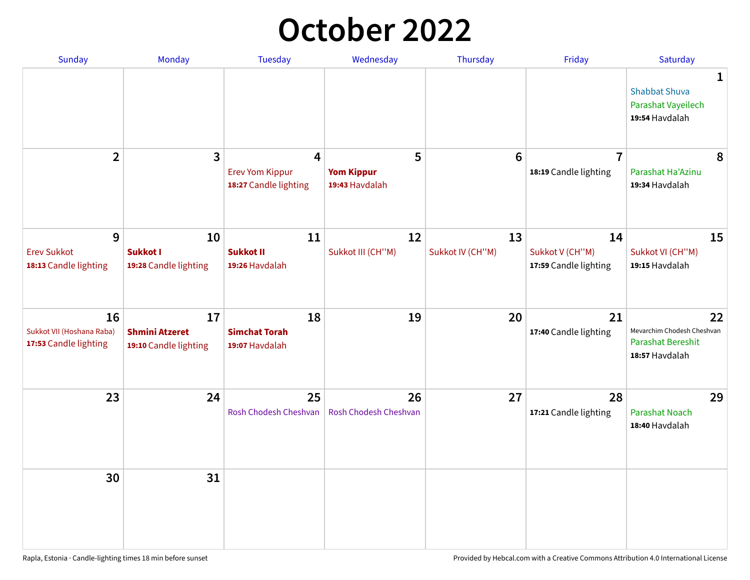## **October 2022**

| <b>Sunday</b>                                            | <b>Monday</b>                                        | <b>Tuesday</b>                                                    | Wednesday                                | Thursday               | Friday                                         | Saturday                                                                |
|----------------------------------------------------------|------------------------------------------------------|-------------------------------------------------------------------|------------------------------------------|------------------------|------------------------------------------------|-------------------------------------------------------------------------|
|                                                          |                                                      |                                                                   |                                          |                        |                                                | 1<br><b>Shabbat Shuva</b><br>Parashat Vayeilech<br>19:54 Havdalah       |
| $\overline{2}$                                           | $\overline{\mathbf{3}}$                              | $\overline{4}$<br><b>Erev Yom Kippur</b><br>18:27 Candle lighting | 5<br><b>Yom Kippur</b><br>19:43 Havdalah | 6                      | $\overline{7}$<br>18:19 Candle lighting        | 8<br>Parashat Ha'Azinu<br>19:34 Havdalah                                |
| 9<br><b>Erev Sukkot</b><br>18:13 Candle lighting         | 10<br><b>Sukkot I</b><br>19:28 Candle lighting       | 11<br><b>Sukkot II</b><br>19:26 Havdalah                          | 12<br>Sukkot III (CH"M)                  | 13<br>Sukkot IV (CH"M) | 14<br>Sukkot V (CH"M)<br>17:59 Candle lighting | 15<br>Sukkot VI (CH"M)<br>19:15 Havdalah                                |
| 16<br>Sukkot VII (Hoshana Raba)<br>17:53 Candle lighting | 17<br><b>Shmini Atzeret</b><br>19:10 Candle lighting | 18<br><b>Simchat Torah</b><br>19:07 Havdalah                      | 19                                       | 20                     | 21<br>17:40 Candle lighting                    | 22<br>Mevarchim Chodesh Cheshvan<br>Parashat Bereshit<br>18:57 Havdalah |
| 23                                                       | 24                                                   | 25<br>Rosh Chodesh Cheshvan                                       | 26<br>Rosh Chodesh Cheshvan              | 27                     | 28<br>17:21 Candle lighting                    | 29<br><b>Parashat Noach</b><br>18:40 Havdalah                           |
| 30                                                       | 31                                                   |                                                                   |                                          |                        |                                                |                                                                         |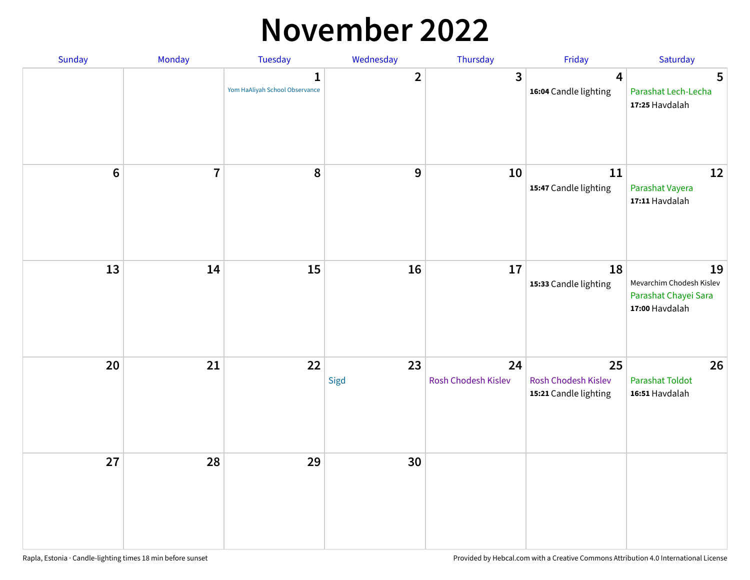#### **November 2022**

| Sunday  | Monday         | Tuesday                             | Wednesday    | Thursday                  | Friday                                             | Saturday                                                                 |
|---------|----------------|-------------------------------------|--------------|---------------------------|----------------------------------------------------|--------------------------------------------------------------------------|
|         |                | 1<br>Yom HaAliyah School Observance | $\mathbf{2}$ | 3                         | $\overline{\mathbf{4}}$<br>16:04 Candle lighting   | $5\phantom{.0}$<br>Parashat Lech-Lecha<br>17:25 Havdalah                 |
| $\bf 6$ | $\overline{7}$ | 8                                   | $\mathbf 9$  | 10                        | 11<br>15:47 Candle lighting                        | 12<br>Parashat Vayera<br>17:11 Havdalah                                  |
| 13      | 14             | 15                                  | 16           | $17\,$                    | 18<br>15:33 Candle lighting                        | 19<br>Mevarchim Chodesh Kislev<br>Parashat Chayei Sara<br>17:00 Havdalah |
| 20      | 21             | 22                                  | 23<br>Sigd   | 24<br>Rosh Chodesh Kislev | 25<br>Rosh Chodesh Kislev<br>15:21 Candle lighting | 26<br><b>Parashat Toldot</b><br>16:51 Havdalah                           |
| 27      | 28             | 29                                  | 30           |                           |                                                    |                                                                          |